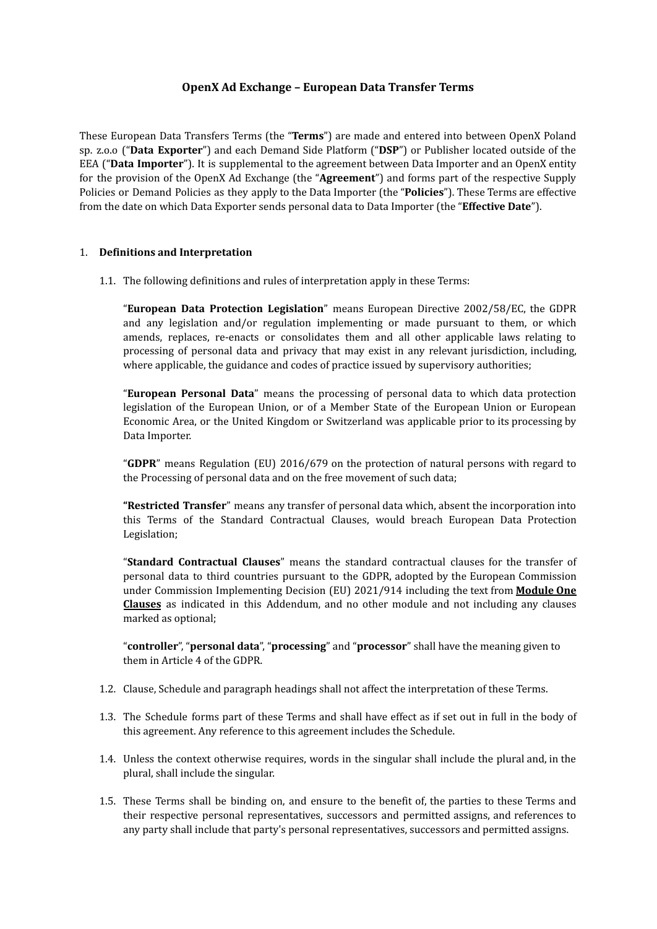# **OpenX Ad Exchange – European Data Transfer Terms**

These European Data Transfers Terms (the "**Terms**") are made and entered into between OpenX Poland sp. z.o.o ("**Data Exporter**") and each Demand Side Platform ("**DSP**") or Publisher located outside of the EEA ("**Data Importer**"). It is supplemental to the agreement between Data Importer and an OpenX entity for the provision of the OpenX Ad Exchange (the "**Agreement**") and forms part of the respective Supply Policies or Demand Policies as they apply to the Data Importer (the "**Policies**"). These Terms are effective from the date on which Data Exporter sends personal data to Data Importer (the "**Effective Date**").

# 1. **Definitions and Interpretation**

1.1. The following definitions and rules of interpretation apply in these Terms:

"**European Data Protection Legislation**" means European Directive 2002/58/EC, the GDPR and any legislation and/or regulation implementing or made pursuant to them, or which amends, replaces, re-enacts or consolidates them and all other applicable laws relating to processing of personal data and privacy that may exist in any relevant jurisdiction, including, where applicable, the guidance and codes of practice issued by supervisory authorities;

"**European Personal Data**" means the processing of personal data to which data protection legislation of the European Union, or of a Member State of the European Union or European Economic Area, or the United Kingdom or Switzerland was applicable prior to its processing by Data Importer.

"**GDPR**" means Regulation (EU) 2016/679 on the protection of natural persons with regard to the Processing of personal data and on the free movement of such data;

**"Restricted Transfer**" means any transfer of personal data which, absent the incorporation into this Terms of the Standard Contractual Clauses, would breach European Data Protection Legislation;

"**Standard Contractual Clauses**" means the standard contractual clauses for the transfer of personal data to third countries pursuant to the GDPR, adopted by the European Commission under Commission Implementing Decision (EU) 2021/914 including the text from **Module One Clauses** as indicated in this Addendum, and no other module and not including any clauses marked as optional;

"**controller**", "**personal data**", "**processing**" and "**processor**" shall have the meaning given to them in Article 4 of the GDPR.

- 1.2. Clause, Schedule and paragraph headings shall not affect the interpretation of these Terms.
- 1.3. The Schedule forms part of these Terms and shall have effect as if set out in full in the body of this agreement. Any reference to this agreement includes the Schedule.
- 1.4. Unless the context otherwise requires, words in the singular shall include the plural and, in the plural, shall include the singular.
- 1.5. These Terms shall be binding on, and ensure to the benefit of, the parties to these Terms and their respective personal representatives, successors and permitted assigns, and references to any party shall include that party's personal representatives, successors and permitted assigns.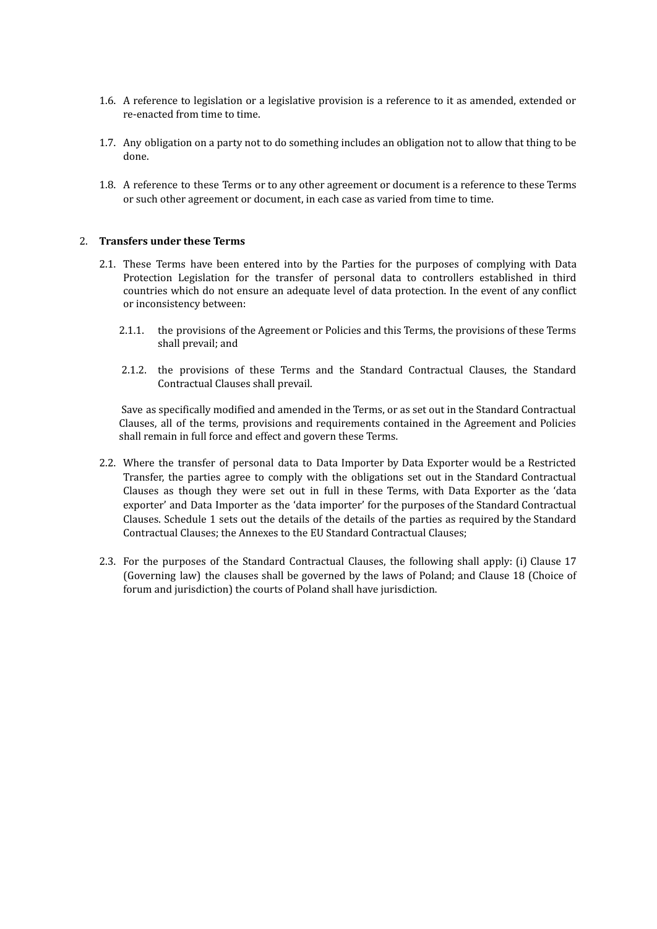- 1.6. A reference to legislation or a legislative provision is a reference to it as amended, extended or re-enacted from time to time.
- 1.7. Any obligation on a party not to do something includes an obligation not to allow that thing to be done.
- 1.8. A reference to these Terms or to any other agreement or document is a reference to these Terms or such other agreement or document, in each case as varied from time to time.

#### 2. **Transfers under these Terms**

- 2.1. These Terms have been entered into by the Parties for the purposes of complying with Data Protection Legislation for the transfer of personal data to controllers established in third countries which do not ensure an adequate level of data protection. In the event of any conflict or inconsistency between:
	- 2.1.1. the provisions of the Agreement or Policies and this Terms, the provisions of these Terms shall prevail; and
	- 2.1.2. the provisions of these Terms and the Standard Contractual Clauses, the Standard Contractual Clauses shall prevail.

Save as specifically modified and amended in the Terms, or as set out in the Standard Contractual Clauses, all of the terms, provisions and requirements contained in the Agreement and Policies shall remain in full force and effect and govern these Terms.

- 2.2. Where the transfer of personal data to Data Importer by Data Exporter would be a Restricted Transfer, the parties agree to comply with the obligations set out in the Standard Contractual Clauses as though they were set out in full in these Terms, with Data Exporter as the 'data exporter' and Data Importer as the 'data importer' for the purposes of the Standard Contractual Clauses. Schedule 1 sets out the details of the details of the parties as required by the Standard Contractual Clauses; the Annexes to the EU Standard Contractual Clauses;
- 2.3. For the purposes of the Standard Contractual Clauses, the following shall apply: (i) Clause 17 (Governing law) the clauses shall be governed by the laws of Poland; and Clause 18 (Choice of forum and jurisdiction) the courts of Poland shall have jurisdiction.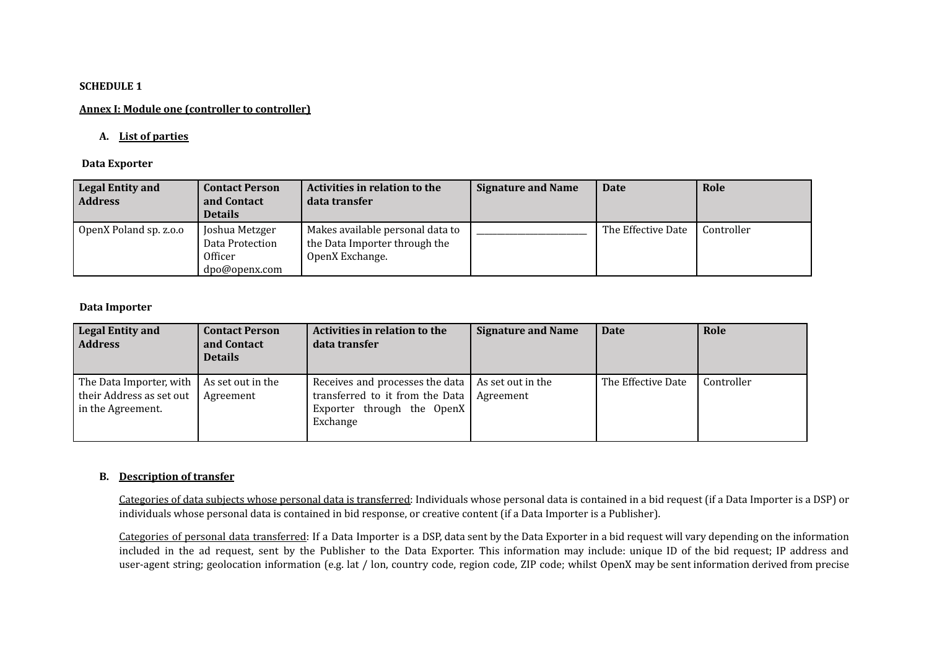### **SCHEDULE 1**

# **Annex I: Module one (controller to controller)**

## **A. List of parties**

### **Data Exporter**

| <b>Legal Entity and</b><br><b>Address</b> | <b>Contact Person</b><br>and Contact<br><b>Details</b>        | Activities in relation to the<br>data transfer                                       | <b>Signature and Name</b> | Date               | Role       |
|-------------------------------------------|---------------------------------------------------------------|--------------------------------------------------------------------------------------|---------------------------|--------------------|------------|
| OpenX Poland sp. z.o.o                    | Joshua Metzger<br>Data Protection<br>Officer<br>dpo@openx.com | Makes available personal data to<br>the Data Importer through the<br>OpenX Exchange. |                           | The Effective Date | Controller |

### **Data Importer**

| <b>Legal Entity and</b><br><b>Address</b>                                | <b>Contact Person</b><br>and Contact<br><b>Details</b> | <b>Activities in relation to the</b><br>data transfer                                                        | <b>Signature and Name</b>        | <b>Date</b>        | Role       |
|--------------------------------------------------------------------------|--------------------------------------------------------|--------------------------------------------------------------------------------------------------------------|----------------------------------|--------------------|------------|
| The Data Importer, with<br>their Address as set out<br>in the Agreement. | As set out in the<br>Agreement                         | Receives and processes the data<br>transferred to it from the Data<br>Exporter through the OpenX<br>Exchange | As set out in the<br>l Agreement | The Effective Date | Controller |

# **B. Description of transfer**

Categories of data subjects whose personal data is transferred: Individuals whose personal data is contained in a bid request (if a Data Importer is a DSP) or individuals whose personal data is contained in bid response, or creative content (if a Data Importer is a Publisher).

Categories of personal data transferred: If a Data Importer is a DSP, data sent by the Data Exporter in a bid request will vary depending on the information included in the ad request, sent by the Publisher to the Data Exporter. This information may include: unique ID of the bid request; IP address and user-agent string; geolocation information (e.g. lat / lon, country code, region code, ZIP code; whilst OpenX may be sent information derived from precise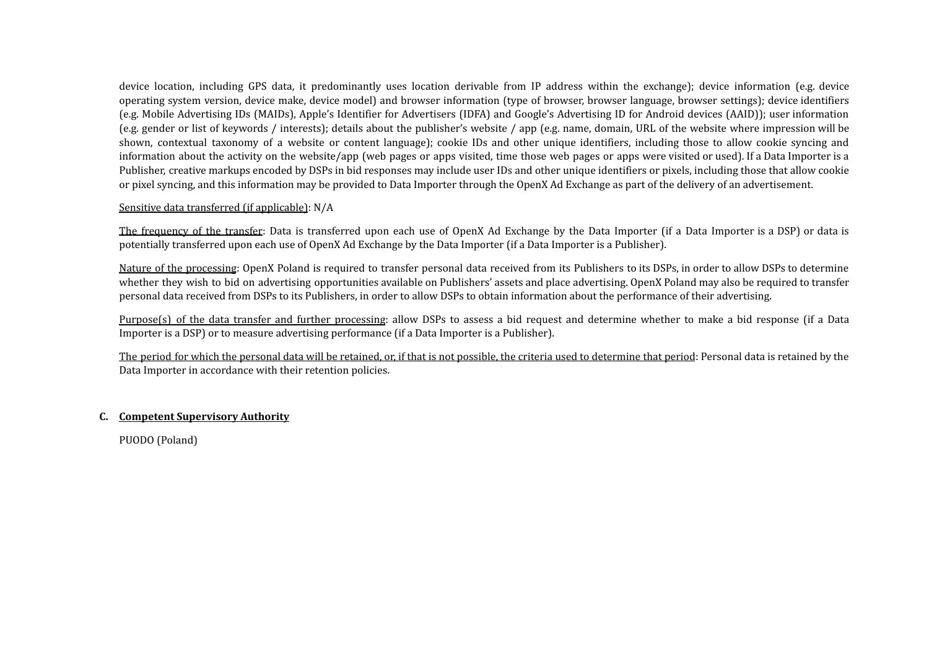device location, including GPS data, it predominantly uses location derivable from IP address within the exchange); device information (e.g. device operating system version, device make, device model) and browser information (type of browser, browser language, browser settings); device identifiers (e.g. Mobile Advertising IDs (MAIDs), Apple's Identifier for Advertisers (IDFA) and Google's Advertising ID for Android devices (AAID)); user information (e.g. gender or list of keywords / interests); details about the publisher's website / app (e.g. name, domain, URL of the website where impression will be shown, contextual taxonomy of a website or content language); cookie IDs and other unique identifiers, including those to allow cookie syncing and information about the activity on the website/app (web pages or apps visited, time those web pages or apps were visited or used). If a Data Importer is a Publisher, creative markups encoded by DSPs in bid responses may include user IDs and other unique identifiers or pixels, including those that allow cookie or pixel syncing, and this information may be provided to Data Importer through the OpenX Ad Exchange as part of the delivery of an advertisement.

# Sensitive data transferred (if applicable): N/A

The frequency of the transfer: Data is transferred upon each use of OpenX Ad Exchange by the Data Importer (if a Data Importer is a DSP) or data is potentially transferred upon each use of OpenX Ad Exchange by the Data Importer (if a Data Importer is a Publisher).

Nature of the processing: OpenX Poland is required to transfer personal data received from its Publishers to its DSPs, in order to allow DSPs to determine whether they wish to bid on advertising opportunities available on Publishers' assets and place advertising. OpenX Poland may also be required to transfer personal data received from DSPs to its Publishers, in order to allow DSPs to obtain information about the performance of their advertising.

Purpose(s) of the data transfer and further processing: allow DSPs to assess a bid request and determine whether to make a bid response (if a Data Importer is a DSP) or to measure advertising performance (if a Data Importer is a Publisher).

The period for which the personal data will be retained, or, if that is not possible, the criteria used to determine that period: Personal data is retained by the Data Importer in accordance with their retention policies.

### **C. Competent Supervisory Authority**

PUODO (Poland)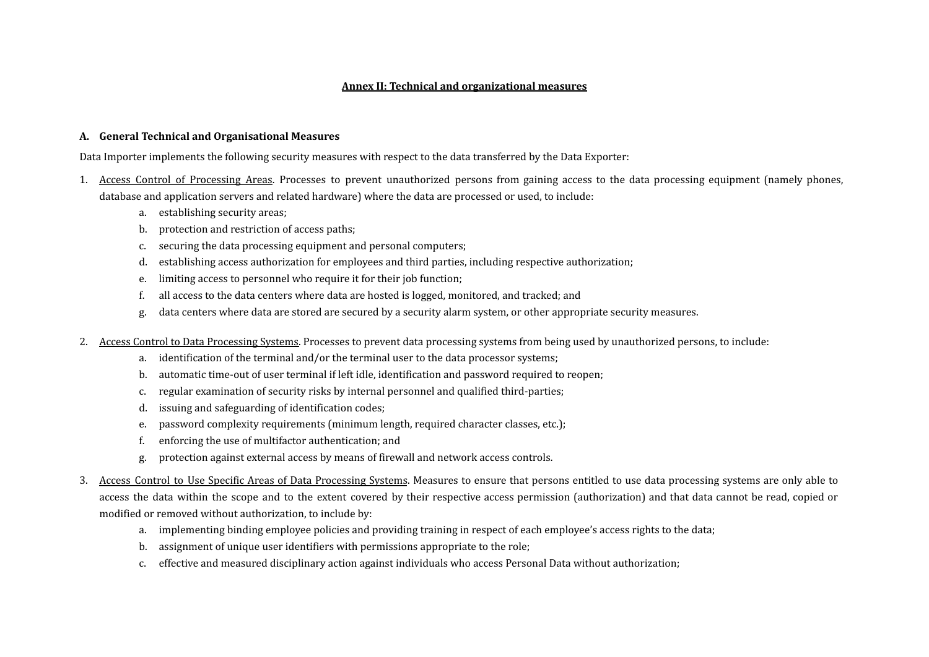## **Annex II: Technical and organizational measures**

#### **A. General Technical and Organisational Measures**

Data Importer implements the following security measures with respect to the data transferred by the Data Exporter:

- 1. Access Control of Processing Areas. Processes to prevent unauthorized persons from gaining access to the data processing equipment (namely phones, database and application servers and related hardware) where the data are processed or used, to include:
	- a. establishing security areas;
	- b. protection and restriction of access paths;
	- c. securing the data processing equipment and personal computers;
	- d. establishing access authorization for employees and third parties, including respective authorization;
	- e. limiting access to personnel who require it for their job function;
	- f. all access to the data centers where data are hosted is logged, monitored, and tracked; and
	- g. data centers where data are stored are secured by a security alarm system, or other appropriate security measures.
- 2. Access Control to Data Processing Systems. Processes to prevent data processing systems from being used by unauthorized persons, to include:
	- a. identification of the terminal and/or the terminal user to the data processor systems;
	- b. automatic time-out of user terminal if left idle, identification and password required to reopen;
	- c. regular examination of security risks by internal personnel and qualified third-parties;
	- d. issuing and safeguarding of identification codes;
	- e. password complexity requirements (minimum length, required character classes, etc.);
	- f. enforcing the use of multifactor authentication; and
	- g. protection against external access by means of firewall and network access controls.
- 3. Access Control to Use Specific Areas of Data Processing Systems. Measures to ensure that persons entitled to use data processing systems are only able to access the data within the scope and to the extent covered by their respective access permission (authorization) and that data cannot be read, copied or modified or removed without authorization, to include by:
	- a. implementing binding employee policies and providing training in respect of each employee's access rights to the data;
	- b. assignment of unique user identifiers with permissions appropriate to the role;
	- c. effective and measured disciplinary action against individuals who access Personal Data without authorization;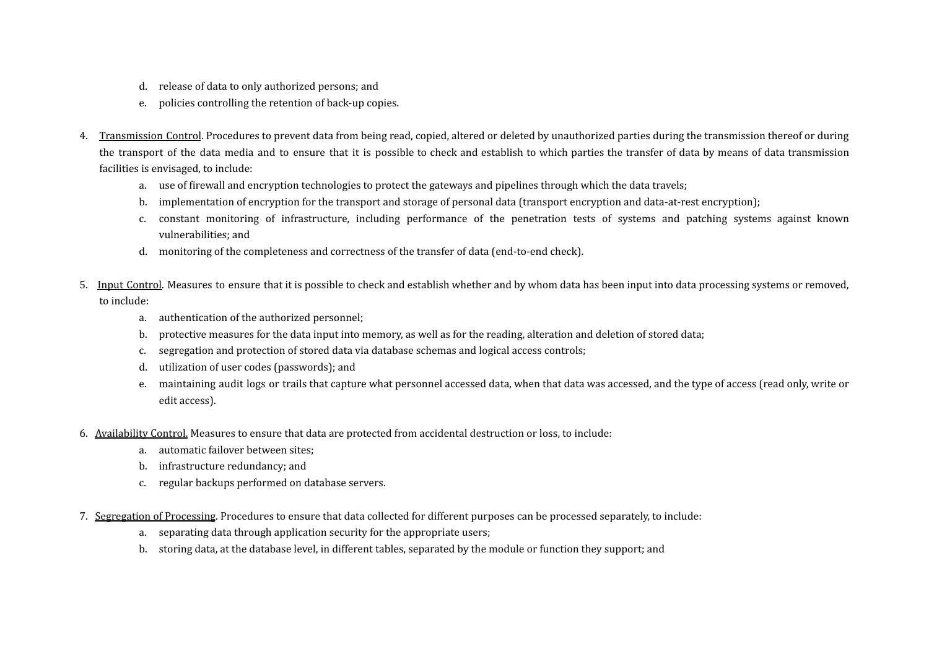- d. release of data to only authorized persons; and
- e. policies controlling the retention of back-up copies.
- 4. Transmission Control. Procedures to prevent data from being read, copied, altered or deleted by unauthorized parties during the transmission thereof or during the transport of the data media and to ensure that it is possible to check and establish to which parties the transfer of data by means of data transmission facilities is envisaged, to include:
	- a. use of firewall and encryption technologies to protect the gateways and pipelines through which the data travels;
	- b. implementation of encryption for the transport and storage of personal data (transport encryption and data-at-rest encryption);
	- c. constant monitoring of infrastructure, including performance of the penetration tests of systems and patching systems against known vulnerabilities; and
	- d. monitoring of the completeness and correctness of the transfer of data (end-to-end check).
- 5. Input Control. Measures to ensure that it is possible to check and establish whether and by whom data has been input into data processing systems or removed, to include:
	- a. authentication of the authorized personnel;
	- b. protective measures for the data input into memory, as well as for the reading, alteration and deletion of stored data;
	- c. segregation and protection of stored data via database schemas and logical access controls;
	- d. utilization of user codes (passwords); and
	- e. maintaining audit logs or trails that capture what personnel accessed data, when that data was accessed, and the type of access (read only, write or edit access).
- 6. Availability Control. Measures to ensure that data are protected from accidental destruction or loss, to include:
	- a. automatic failover between sites;
	- b. infrastructure redundancy; and
	- c. regular backups performed on database servers.
- 7. Segregation of Processing. Procedures to ensure that data collected for different purposes can be processed separately, to include:
	- a. separating data through application security for the appropriate users;
	- b. storing data, at the database level, in different tables, separated by the module or function they support; and